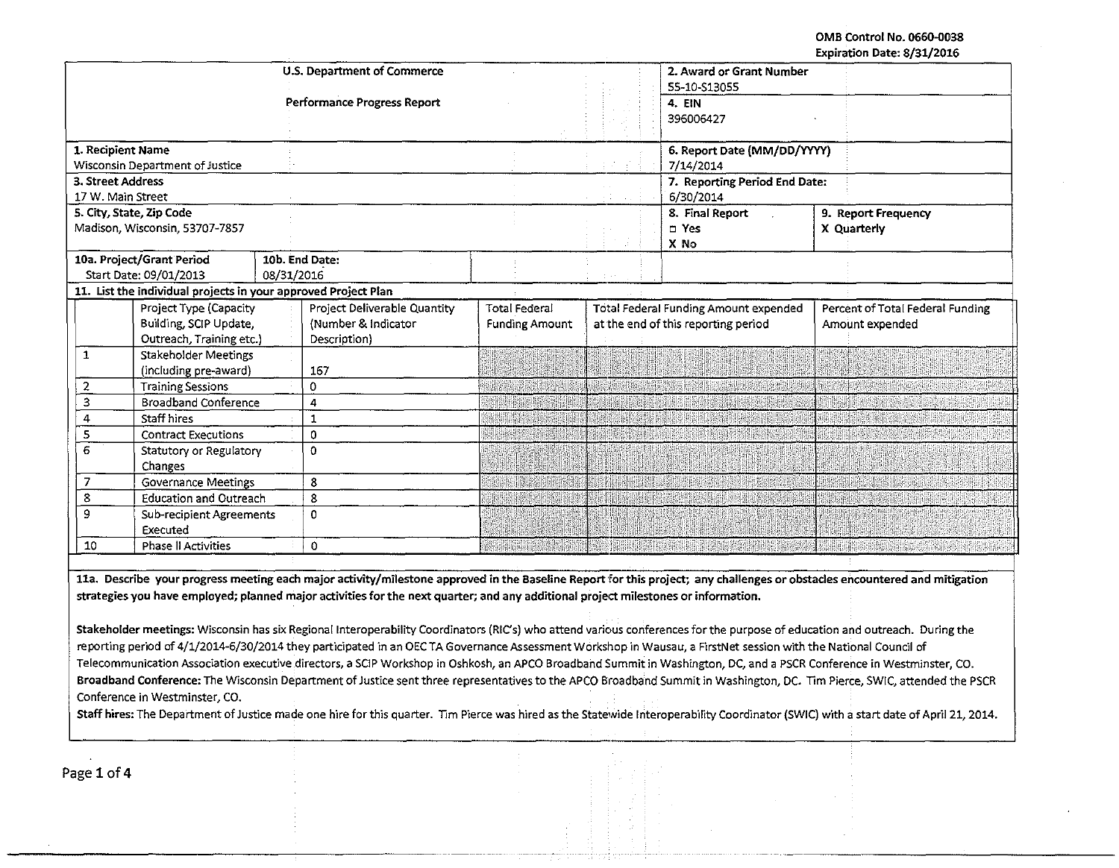OMB Control No. 0660-Q038 Expiration Date: 8/31/2016

|                                                                                                                                                                                       |                                                                |                                                                                                                                                                            |                             |                                              |                                              | rvhii afinii nere, ol 311 cata   |  |
|---------------------------------------------------------------------------------------------------------------------------------------------------------------------------------------|----------------------------------------------------------------|----------------------------------------------------------------------------------------------------------------------------------------------------------------------------|-----------------------------|----------------------------------------------|----------------------------------------------|----------------------------------|--|
|                                                                                                                                                                                       |                                                                | U.S. Department of Commerce                                                                                                                                                | 2. Award or Grant Number    |                                              |                                              |                                  |  |
|                                                                                                                                                                                       |                                                                |                                                                                                                                                                            |                             | 55-10-\$13055                                |                                              |                                  |  |
|                                                                                                                                                                                       |                                                                | Performance Progress Report                                                                                                                                                |                             |                                              | 4. EIN                                       |                                  |  |
|                                                                                                                                                                                       |                                                                |                                                                                                                                                                            |                             |                                              | 396006427                                    |                                  |  |
| 1. Recipient Name                                                                                                                                                                     |                                                                |                                                                                                                                                                            |                             |                                              | 6. Report Date (MM/DD/YYYY)                  |                                  |  |
|                                                                                                                                                                                       | <b>Wisconsin Department of Justice</b>                         |                                                                                                                                                                            |                             |                                              | 7/14/2014                                    |                                  |  |
| 3. Street Address                                                                                                                                                                     |                                                                |                                                                                                                                                                            |                             |                                              | 7. Reporting Period End Date:                |                                  |  |
| 17 W. Main Street                                                                                                                                                                     |                                                                |                                                                                                                                                                            |                             |                                              | 6/30/2014                                    |                                  |  |
|                                                                                                                                                                                       | 5. City, State, Zip Code                                       |                                                                                                                                                                            |                             |                                              | 8. Final Report                              | 9. Report Frequency              |  |
|                                                                                                                                                                                       | Madison, Wisconsin, 53707-7857                                 |                                                                                                                                                                            |                             |                                              | n Yes                                        | X Quarterly                      |  |
|                                                                                                                                                                                       |                                                                |                                                                                                                                                                            |                             |                                              | X No                                         |                                  |  |
|                                                                                                                                                                                       | 10a. Project/Grant Period                                      | 10b. End Date:                                                                                                                                                             |                             |                                              |                                              |                                  |  |
|                                                                                                                                                                                       | Start Date: 09/01/2013                                         | 08/31/2016                                                                                                                                                                 |                             |                                              |                                              |                                  |  |
|                                                                                                                                                                                       | 11. List the individual projects in your approved Project Plan |                                                                                                                                                                            |                             |                                              |                                              |                                  |  |
|                                                                                                                                                                                       | Project Type (Capacity                                         | Project Deliverable Quantity                                                                                                                                               | <b>Total Federal</b>        | <b>Total Federal Funding Amount expended</b> |                                              | Percent of Total Federal Funding |  |
|                                                                                                                                                                                       | Building, SCIP Update,                                         | (Number & Indicator                                                                                                                                                        | <b>Funding Amount</b>       |                                              | at the end of this reporting period          | Amount expended                  |  |
|                                                                                                                                                                                       | Outreach, Training etc.)                                       | Description)                                                                                                                                                               |                             |                                              |                                              |                                  |  |
| $\mathbf{1}$                                                                                                                                                                          | <b>Stakeholder Meetings</b>                                    |                                                                                                                                                                            |                             |                                              |                                              |                                  |  |
|                                                                                                                                                                                       | (including pre-award)                                          | 167                                                                                                                                                                        |                             |                                              |                                              |                                  |  |
| $\overline{2}$                                                                                                                                                                        | <b>Training Sessions</b>                                       | 0                                                                                                                                                                          | HILL HE RESERVED TO THE     |                                              | Maria Radio Antiche de Maria Romana de Maria |                                  |  |
| 3                                                                                                                                                                                     | <b>Broadband Conference</b>                                    | 4                                                                                                                                                                          | <u>Alian iaitu mwaka mu</u> |                                              |                                              |                                  |  |
| 4                                                                                                                                                                                     | Staff hires                                                    | $\mathbf 1$                                                                                                                                                                |                             |                                              | <b>TANONE AND NE</b>                         |                                  |  |
| 5                                                                                                                                                                                     | <b>Contract Executions</b>                                     | 0                                                                                                                                                                          | an ing pagpateng pang       |                                              |                                              |                                  |  |
| 6                                                                                                                                                                                     | Statutory or Regulatory                                        | $\Omega$                                                                                                                                                                   |                             |                                              |                                              |                                  |  |
|                                                                                                                                                                                       | Changes                                                        |                                                                                                                                                                            |                             |                                              |                                              |                                  |  |
| $\overline{7}$                                                                                                                                                                        | <b>Governance Meetings</b>                                     | 8                                                                                                                                                                          |                             |                                              |                                              |                                  |  |
| 8                                                                                                                                                                                     | <b>Education and Outreach</b>                                  | 8                                                                                                                                                                          |                             |                                              |                                              |                                  |  |
| 9                                                                                                                                                                                     | Sub-recipient Agreements                                       | $\Omega$                                                                                                                                                                   |                             |                                              |                                              |                                  |  |
|                                                                                                                                                                                       | Executed                                                       |                                                                                                                                                                            |                             |                                              |                                              |                                  |  |
| 10                                                                                                                                                                                    | Phase II Activities                                            | 0                                                                                                                                                                          | <b>BANK HOUGHAMAN</b>       |                                              |                                              |                                  |  |
|                                                                                                                                                                                       |                                                                |                                                                                                                                                                            |                             |                                              |                                              |                                  |  |
|                                                                                                                                                                                       |                                                                | 11a. Describe your progress meeting each major activity/milestone approved in the Baseline Report for this project; any challenges or obstacles encountered and mitigation |                             |                                              |                                              |                                  |  |
|                                                                                                                                                                                       |                                                                | strategies you have employed; planned major activities for the next quarter; and any additional project milestones or information.                                         |                             |                                              |                                              |                                  |  |
|                                                                                                                                                                                       |                                                                |                                                                                                                                                                            |                             |                                              |                                              |                                  |  |
|                                                                                                                                                                                       |                                                                |                                                                                                                                                                            |                             |                                              |                                              |                                  |  |
| Stakeholder meetings: Wisconsin has six Regional Interoperability Coordinators (RIC's) who attend various conferences for the purpose of education and outreach. During the           |                                                                |                                                                                                                                                                            |                             |                                              |                                              |                                  |  |
| reporting period of 4/1/2014-6/30/2014 they participated in an OEC TA Governance Assessment Workshop in Wausau, a FirstNet session with the National Council of                       |                                                                |                                                                                                                                                                            |                             |                                              |                                              |                                  |  |
| Telecommunication Association executive directors, a SCIP Workshop in Oshkosh, an APCO Broadband Summit in Washington, DC, and a PSCR Conference in Westminster, CO.                  |                                                                |                                                                                                                                                                            |                             |                                              |                                              |                                  |  |
| Broadband Conference: The Wisconsin Department of Justice sent three representatives to the APCO Broadband Summit in Washington, DC. Tim Pierce, SWIC, attended the PSCR              |                                                                |                                                                                                                                                                            |                             |                                              |                                              |                                  |  |
| Conference in Westminster, CO.                                                                                                                                                        |                                                                |                                                                                                                                                                            |                             |                                              |                                              |                                  |  |
| Staff hires: The Department of Justice made one hire for this quarter. Tim Pierce was hired as the Statewide Interoperability Coordinator (SWIC) with a start date of April 21, 2014. |                                                                |                                                                                                                                                                            |                             |                                              |                                              |                                  |  |
|                                                                                                                                                                                       |                                                                |                                                                                                                                                                            |                             |                                              |                                              |                                  |  |
|                                                                                                                                                                                       |                                                                |                                                                                                                                                                            |                             |                                              |                                              |                                  |  |
|                                                                                                                                                                                       |                                                                |                                                                                                                                                                            |                             |                                              |                                              |                                  |  |

·---

Page 1 of 4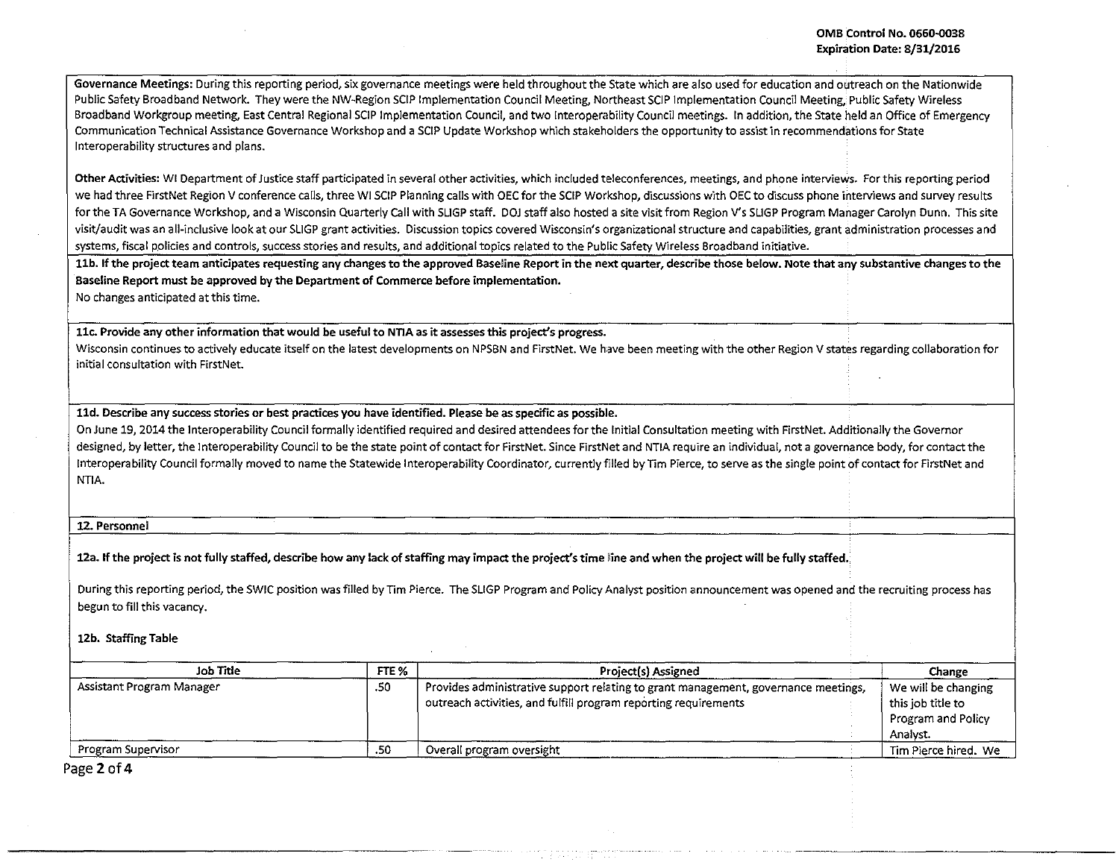Governance Meetings: During this reporting period, six governance meetings were held throughout the State which are also used for education and outreach on the Nationwide Public Safety Broadband Network. They were the NW~Region SCIP Implementation Council Meeting. Northeast SCJP Implementation Council Meeting. Public Safety Wireless Broadband Workgroup meeting, East Central Regional SCIP Implementation Council, and two Interoperability Council meetings. In addition, the State held an Office of Emergency Communication Technical Assistance Governance Workshop and a SCIP Update Workshop which stakeholders the opportunity to assist in recommendations for State tnteroperability structures and plans.

Other Activities: WI Department of Justice staff participated in several other activities, which included teleconferences, meetings, and phone interviews. For this reporting period we had three FirstNet Region V conference calls, three WI SCIP Planning calls with OEC for the SCIP workshop, discussions with OEC to discuss phone interviews and survey results for the TA Governance Workshop, and a Wisconsin Quarterly Call with SLIGP staff. DOJ staff also hosted a site visit from Region V's SLIGP Program Manager Carolyn Dunn. This site visit/audit was an all-inclusive look at our SLIGP grant activities. Discussion topics covered Wisconsin's mganizational structure and capabilities, grant administration processes and systems, fiscal policies and controls, success stories and results, and additional topics related to the Public Safety Wireless Broadband initiative.

llb. If the project team anticipates requesting any changes to the approved Baseline Report in the next quarter, describe those below. Note that any substantive changes to the Baseline Report must be approved by the Department of Commerce before implementation.

No changes anticipated at this time.

llc. Provide any other information that would be useful to NTIA as it assesses this project's progress.

Wisconsin continues to actively educate itself on the latest developments on NPSBN and FirstNet. We have been meeting with the other Region V states regarding collaboration for initial consultation with FirstNet.

lld. Describe any success stories or best practices you have identified. Please be as specific as possible.

On June 19, 2014 the lnteroperability Council formally identified required and desired attendees for the Initial Consultation meeting with FirstNet. Additionally the Governor designed, by letter, the lnteroperability Council to be the state point of contact for FirstNet. Since FirstNet and NTIA require an individual, not a governance body, for contact the tnteroperability Council formally moved to name the Statewide lnteroperability Coordinator, currently filled by Tim Pierce, to serve as the single point of contact for FirstNet and NTIA.

12. Personnel

12a. If the project is not fully staffed, describe how any lack of staffing may impact the project's time line and when the project will be fully staffed.

During this reporting period, the SWIC position was filled by Tim Pierce. The SLIGP Program and Policy Analyst position announcement was opened and the recruiting process has begun to fill this vacancy.

12b. Staffing Table

| Job Title                 | FTE % | Project(s) Assigned                                                                                                                                   | Change                                                                     |
|---------------------------|-------|-------------------------------------------------------------------------------------------------------------------------------------------------------|----------------------------------------------------------------------------|
| Assistant Program Manager | .50   | Provides administrative support relating to grant management, governance meetings,<br>outreach activities, and fulfill program reporting requirements | We will be changing<br>this job title to<br>Program and Policy<br>Analyst. |
| Program Supervisor        | .50   | Overall program oversight                                                                                                                             | Tim Pierce hired. We                                                       |

Page 2 of 4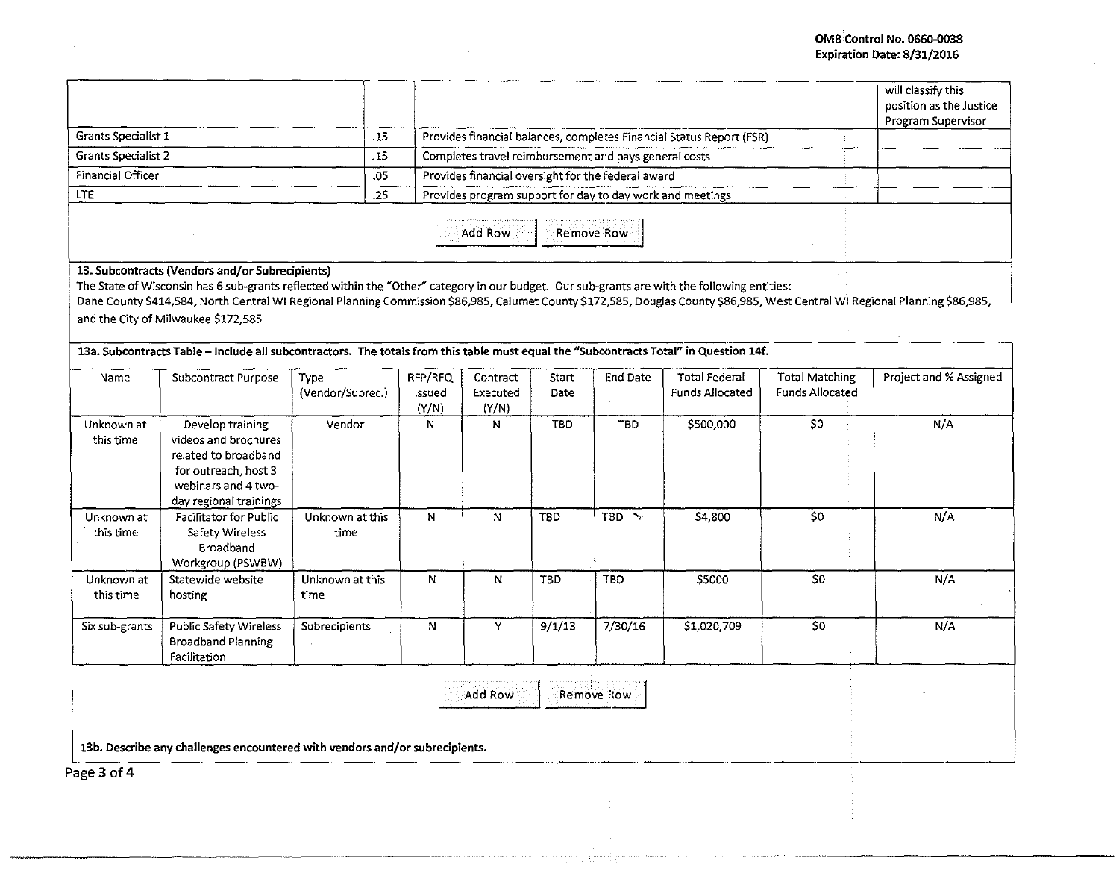## OMB Control No. 0660-0038 Expiration Date: 8/31/2016

|                                                |                                                                                                                                                                                                                                                                                                                                                                                                                                                                                                                                                                  |                          |                            |                                                                      |               |                                                    |                                                           |                                                 | will classify this<br>position as the Justice<br>Program Supervisor |
|------------------------------------------------|------------------------------------------------------------------------------------------------------------------------------------------------------------------------------------------------------------------------------------------------------------------------------------------------------------------------------------------------------------------------------------------------------------------------------------------------------------------------------------------------------------------------------------------------------------------|--------------------------|----------------------------|----------------------------------------------------------------------|---------------|----------------------------------------------------|-----------------------------------------------------------|-------------------------------------------------|---------------------------------------------------------------------|
| Grants Specialist 1                            |                                                                                                                                                                                                                                                                                                                                                                                                                                                                                                                                                                  | .15                      |                            | Provides financial balances, completes Financial Status Report (FSR) |               |                                                    |                                                           |                                                 |                                                                     |
| $\overline{.}15$<br><b>Grants Specialist 2</b> |                                                                                                                                                                                                                                                                                                                                                                                                                                                                                                                                                                  |                          |                            | Completes travel reimbursement and pays general costs                |               |                                                    |                                                           |                                                 |                                                                     |
| Financial Officer<br>.05                       |                                                                                                                                                                                                                                                                                                                                                                                                                                                                                                                                                                  |                          |                            |                                                                      |               | Provides financial oversight for the federal award |                                                           |                                                 |                                                                     |
| <b>LTE</b>                                     |                                                                                                                                                                                                                                                                                                                                                                                                                                                                                                                                                                  | .25                      |                            |                                                                      |               |                                                    | Provides program support for day to day work and meetings |                                                 |                                                                     |
|                                                |                                                                                                                                                                                                                                                                                                                                                                                                                                                                                                                                                                  |                          |                            | Add Row                                                              |               | Remove Row                                         |                                                           |                                                 |                                                                     |
|                                                | 13. Subcontracts (Vendors and/or Subrecipients)<br>The State of Wisconsin has 6 sub-grants reflected within the "Other" category in our budget. Our sub-grants are with the following entities:<br>Dane County \$414,584, North Central WI Regional Planning Commission \$86,985, Calumet County \$172,585, Douglas County \$86,985, West Central WI Regional Planning \$86,985,<br>and the City of Milwaukee \$172,585<br>13a. Subcontracts Table - Include all subcontractors. The totals from this table must equal the "Subcontracts Total" in Question 14f. |                          |                            |                                                                      |               |                                                    |                                                           |                                                 |                                                                     |
| Name                                           | Subcontract Purpose                                                                                                                                                                                                                                                                                                                                                                                                                                                                                                                                              | Type<br>(Vendor/Subrec.) | RFP/RFQ<br>Issued<br>(Y/N) | Contract<br>Executed<br>(Y/N)                                        | Start<br>Date | <b>End Date</b>                                    | <b>Total Federal</b><br><b>Funds Allocated</b>            | <b>Total Matching</b><br><b>Funds Allocated</b> | Project and % Assigned                                              |
| Unknown at<br>this time                        | Develop training<br>videos and brochures<br>related to broadband<br>for outreach, host 3<br>webinars and 4 two-<br>day regional trainings                                                                                                                                                                                                                                                                                                                                                                                                                        | Vendor                   | N                          | N                                                                    | <b>TBD</b>    | <b>TBD</b>                                         | \$500,000                                                 | $\overline{50}$                                 | N/A                                                                 |
| Unknown at<br>this time                        | Facilitator for Public<br>Safety Wireless<br>Broadband<br>Workgroup (PSWBW)                                                                                                                                                                                                                                                                                                                                                                                                                                                                                      | Unknown at this<br>time  | N                          | N                                                                    | <b>TBD</b>    | $TBD \rightarrow$                                  | \$4,800                                                   | 50                                              | N/A                                                                 |
| Unknown at<br>this time                        | Statewide website<br>hosting                                                                                                                                                                                                                                                                                                                                                                                                                                                                                                                                     | Unknown at this<br>time  | N                          | N                                                                    | <b>TBD</b>    | <b>TBD</b>                                         | \$5000                                                    | 50                                              | N/A                                                                 |
| Six sub-grants                                 | <b>Public Safety Wireless</b><br><b>Broadband Planning</b><br>Facilitation                                                                                                                                                                                                                                                                                                                                                                                                                                                                                       | Subrecipients            | N                          | Y                                                                    | 9/1/13        | 7/30/16                                            | \$1,020,709                                               | 50                                              | N/A                                                                 |
|                                                |                                                                                                                                                                                                                                                                                                                                                                                                                                                                                                                                                                  |                          |                            | <b>Add Row</b>                                                       |               | Remove Row                                         |                                                           |                                                 |                                                                     |
|                                                |                                                                                                                                                                                                                                                                                                                                                                                                                                                                                                                                                                  |                          |                            |                                                                      |               |                                                    |                                                           |                                                 |                                                                     |